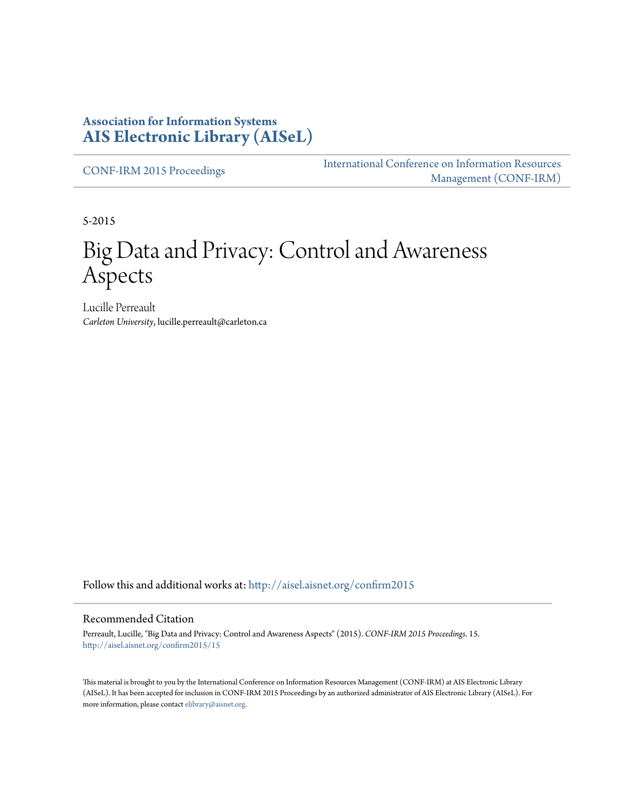#### **Association for Information Systems [AIS Electronic Library \(AISeL\)](http://aisel.aisnet.org?utm_source=aisel.aisnet.org%2Fconfirm2015%2F15&utm_medium=PDF&utm_campaign=PDFCoverPages)**

[CONF-IRM 2015 Proceedings](http://aisel.aisnet.org/confirm2015?utm_source=aisel.aisnet.org%2Fconfirm2015%2F15&utm_medium=PDF&utm_campaign=PDFCoverPages)

[International Conference on Information Resources](http://aisel.aisnet.org/conf-irm?utm_source=aisel.aisnet.org%2Fconfirm2015%2F15&utm_medium=PDF&utm_campaign=PDFCoverPages) [Management \(CONF-IRM\)](http://aisel.aisnet.org/conf-irm?utm_source=aisel.aisnet.org%2Fconfirm2015%2F15&utm_medium=PDF&utm_campaign=PDFCoverPages)

5-2015

# Big Data and Privacy: Control and Awareness Aspects

Lucille Perreault *Carleton University*, lucille.perreault@carleton.ca

Follow this and additional works at: [http://aisel.aisnet.org/confirm2015](http://aisel.aisnet.org/confirm2015?utm_source=aisel.aisnet.org%2Fconfirm2015%2F15&utm_medium=PDF&utm_campaign=PDFCoverPages)

#### Recommended Citation

Perreault, Lucille, "Big Data and Privacy: Control and Awareness Aspects" (2015). *CONF-IRM 2015 Proceedings*. 15. [http://aisel.aisnet.org/confirm2015/15](http://aisel.aisnet.org/confirm2015/15?utm_source=aisel.aisnet.org%2Fconfirm2015%2F15&utm_medium=PDF&utm_campaign=PDFCoverPages)

This material is brought to you by the International Conference on Information Resources Management (CONF-IRM) at AIS Electronic Library (AISeL). It has been accepted for inclusion in CONF-IRM 2015 Proceedings by an authorized administrator of AIS Electronic Library (AISeL). For more information, please contact [elibrary@aisnet.org.](mailto:elibrary@aisnet.org%3E)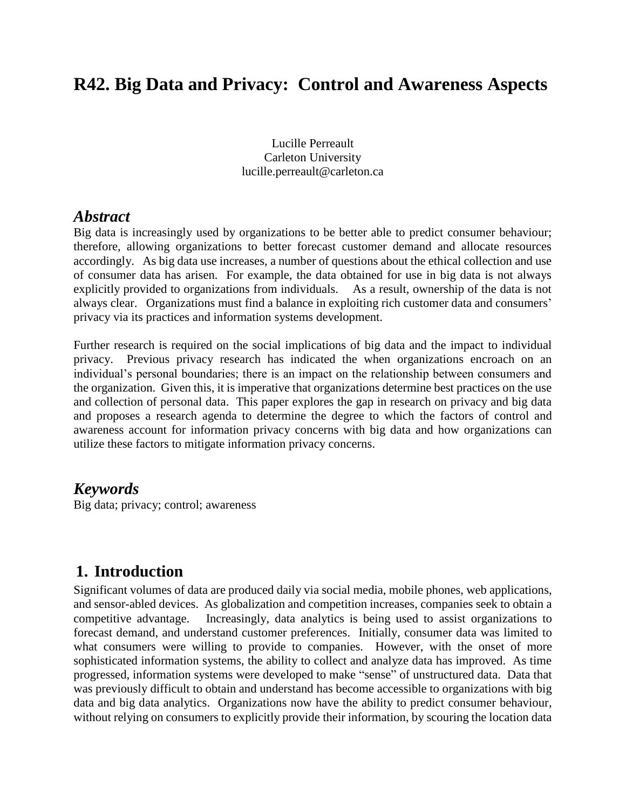# **R42. Big Data and Privacy: Control and Awareness Aspects**

Lucille Perreault Carleton University lucille.perreault@carleton.ca

#### *Abstract*

Big data is increasingly used by organizations to be better able to predict consumer behaviour; therefore, allowing organizations to better forecast customer demand and allocate resources accordingly. As big data use increases, a number of questions about the ethical collection and use of consumer data has arisen. For example, the data obtained for use in big data is not always explicitly provided to organizations from individuals. As a result, ownership of the data is not always clear. Organizations must find a balance in exploiting rich customer data and consumers' privacy via its practices and information systems development.

Further research is required on the social implications of big data and the impact to individual privacy. Previous privacy research has indicated the when organizations encroach on an individual's personal boundaries; there is an impact on the relationship between consumers and the organization. Given this, it is imperative that organizations determine best practices on the use and collection of personal data. This paper explores the gap in research on privacy and big data and proposes a research agenda to determine the degree to which the factors of control and awareness account for information privacy concerns with big data and how organizations can utilize these factors to mitigate information privacy concerns.

#### *Keywords*

Big data; privacy; control; awareness

## **1. Introduction**

Significant volumes of data are produced daily via social media, mobile phones, web applications, and sensor-abled devices. As globalization and competition increases, companies seek to obtain a competitive advantage. Increasingly, data analytics is being used to assist organizations to forecast demand, and understand customer preferences. Initially, consumer data was limited to what consumers were willing to provide to companies. However, with the onset of more sophisticated information systems, the ability to collect and analyze data has improved. As time progressed, information systems were developed to make "sense" of unstructured data. Data that was previously difficult to obtain and understand has become accessible to organizations with big data and big data analytics. Organizations now have the ability to predict consumer behaviour, without relying on consumers to explicitly provide their information, by scouring the location data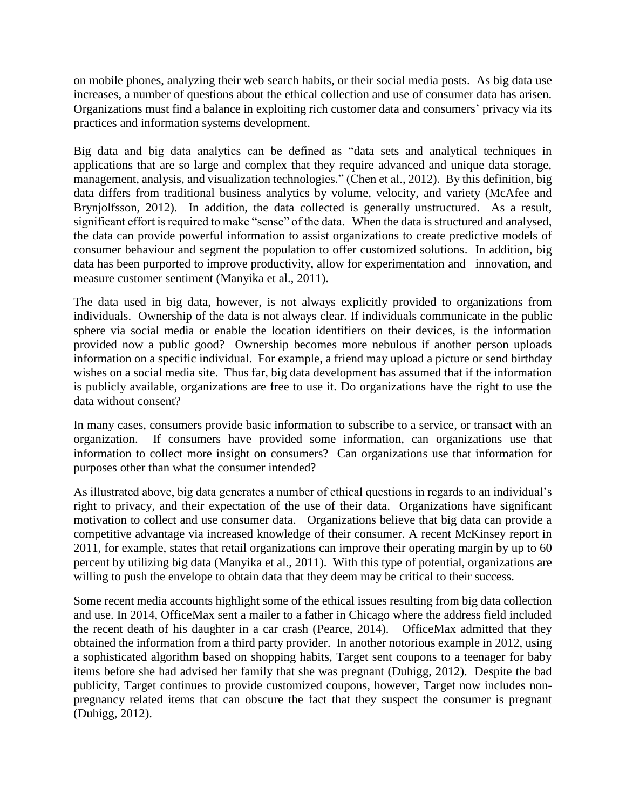on mobile phones, analyzing their web search habits, or their social media posts. As big data use increases, a number of questions about the ethical collection and use of consumer data has arisen. Organizations must find a balance in exploiting rich customer data and consumers' privacy via its practices and information systems development.

Big data and big data analytics can be defined as "data sets and analytical techniques in applications that are so large and complex that they require advanced and unique data storage, management, analysis, and visualization technologies." (Chen et al., 2012). By this definition, big data differs from traditional business analytics by volume, velocity, and variety (McAfee and Brynjolfsson, 2012). In addition, the data collected is generally unstructured. As a result, significant effort is required to make "sense" of the data. When the data is structured and analysed, the data can provide powerful information to assist organizations to create predictive models of consumer behaviour and segment the population to offer customized solutions. In addition, big data has been purported to improve productivity, allow for experimentation and innovation, and measure customer sentiment (Manyika et al., 2011).

The data used in big data, however, is not always explicitly provided to organizations from individuals. Ownership of the data is not always clear. If individuals communicate in the public sphere via social media or enable the location identifiers on their devices, is the information provided now a public good? Ownership becomes more nebulous if another person uploads information on a specific individual. For example, a friend may upload a picture or send birthday wishes on a social media site. Thus far, big data development has assumed that if the information is publicly available, organizations are free to use it. Do organizations have the right to use the data without consent?

In many cases, consumers provide basic information to subscribe to a service, or transact with an organization. If consumers have provided some information, can organizations use that information to collect more insight on consumers? Can organizations use that information for purposes other than what the consumer intended?

As illustrated above, big data generates a number of ethical questions in regards to an individual's right to privacy, and their expectation of the use of their data. Organizations have significant motivation to collect and use consumer data. Organizations believe that big data can provide a competitive advantage via increased knowledge of their consumer. A recent McKinsey report in 2011, for example, states that retail organizations can improve their operating margin by up to 60 percent by utilizing big data (Manyika et al., 2011). With this type of potential, organizations are willing to push the envelope to obtain data that they deem may be critical to their success.

Some recent media accounts highlight some of the ethical issues resulting from big data collection and use. In 2014, OfficeMax sent a mailer to a father in Chicago where the address field included the recent death of his daughter in a car crash (Pearce, 2014). OfficeMax admitted that they obtained the information from a third party provider. In another notorious example in 2012, using a sophisticated algorithm based on shopping habits, Target sent coupons to a teenager for baby items before she had advised her family that she was pregnant (Duhigg, 2012). Despite the bad publicity, Target continues to provide customized coupons, however, Target now includes nonpregnancy related items that can obscure the fact that they suspect the consumer is pregnant (Duhigg, 2012).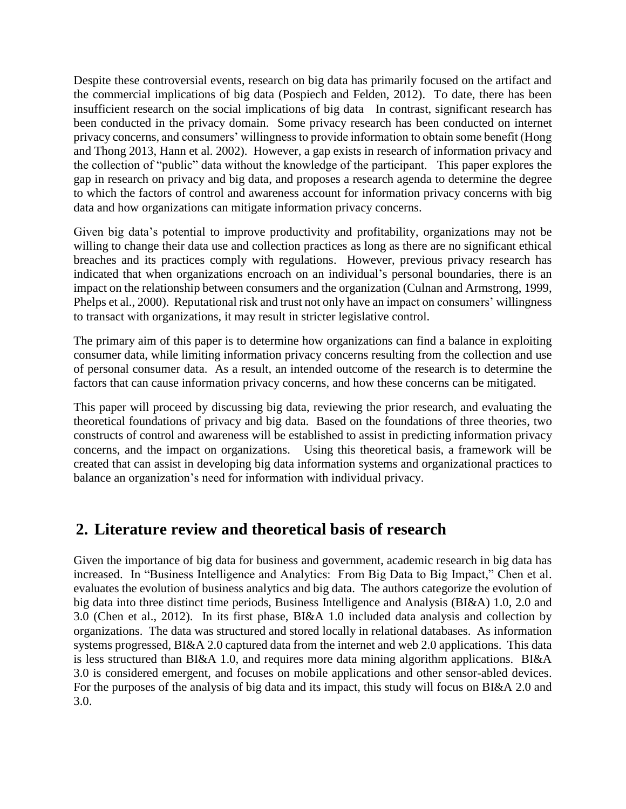Despite these controversial events, research on big data has primarily focused on the artifact and the commercial implications of big data (Pospiech and Felden, 2012). To date, there has been insufficient research on the social implications of big data In contrast, significant research has been conducted in the privacy domain. Some privacy research has been conducted on internet privacy concerns, and consumers' willingness to provide information to obtain some benefit (Hong and Thong 2013, Hann et al. 2002). However, a gap exists in research of information privacy and the collection of "public" data without the knowledge of the participant. This paper explores the gap in research on privacy and big data, and proposes a research agenda to determine the degree to which the factors of control and awareness account for information privacy concerns with big data and how organizations can mitigate information privacy concerns.

Given big data's potential to improve productivity and profitability, organizations may not be willing to change their data use and collection practices as long as there are no significant ethical breaches and its practices comply with regulations. However, previous privacy research has indicated that when organizations encroach on an individual's personal boundaries, there is an impact on the relationship between consumers and the organization (Culnan and Armstrong, 1999, Phelps et al., 2000). Reputational risk and trust not only have an impact on consumers' willingness to transact with organizations, it may result in stricter legislative control.

The primary aim of this paper is to determine how organizations can find a balance in exploiting consumer data, while limiting information privacy concerns resulting from the collection and use of personal consumer data. As a result, an intended outcome of the research is to determine the factors that can cause information privacy concerns, and how these concerns can be mitigated.

This paper will proceed by discussing big data, reviewing the prior research, and evaluating the theoretical foundations of privacy and big data. Based on the foundations of three theories, two constructs of control and awareness will be established to assist in predicting information privacy concerns, and the impact on organizations. Using this theoretical basis, a framework will be created that can assist in developing big data information systems and organizational practices to balance an organization's need for information with individual privacy.

#### **2. Literature review and theoretical basis of research**

Given the importance of big data for business and government, academic research in big data has increased. In "Business Intelligence and Analytics: From Big Data to Big Impact," Chen et al. evaluates the evolution of business analytics and big data. The authors categorize the evolution of big data into three distinct time periods, Business Intelligence and Analysis (BI&A) 1.0, 2.0 and 3.0 (Chen et al., 2012). In its first phase, BI&A 1.0 included data analysis and collection by organizations. The data was structured and stored locally in relational databases. As information systems progressed, BI&A 2.0 captured data from the internet and web 2.0 applications. This data is less structured than BI&A 1.0, and requires more data mining algorithm applications. BI&A 3.0 is considered emergent, and focuses on mobile applications and other sensor-abled devices. For the purposes of the analysis of big data and its impact, this study will focus on BI&A 2.0 and 3.0.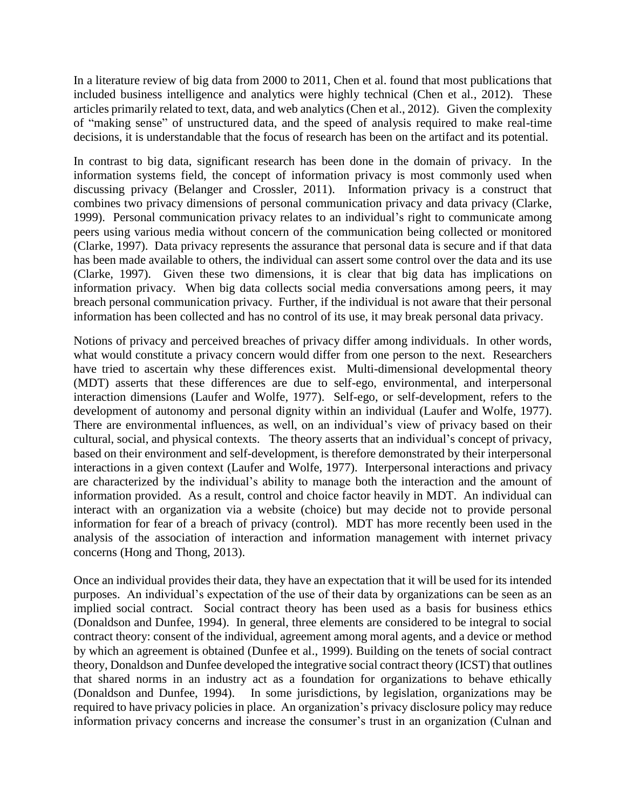In a literature review of big data from 2000 to 2011, Chen et al. found that most publications that included business intelligence and analytics were highly technical (Chen et al., 2012). These articles primarily related to text, data, and web analytics (Chen et al., 2012). Given the complexity of "making sense" of unstructured data, and the speed of analysis required to make real-time decisions, it is understandable that the focus of research has been on the artifact and its potential.

In contrast to big data, significant research has been done in the domain of privacy. In the information systems field, the concept of information privacy is most commonly used when discussing privacy (Belanger and Crossler, 2011). Information privacy is a construct that combines two privacy dimensions of personal communication privacy and data privacy (Clarke, 1999). Personal communication privacy relates to an individual's right to communicate among peers using various media without concern of the communication being collected or monitored (Clarke, 1997). Data privacy represents the assurance that personal data is secure and if that data has been made available to others, the individual can assert some control over the data and its use (Clarke, 1997). Given these two dimensions, it is clear that big data has implications on information privacy. When big data collects social media conversations among peers, it may breach personal communication privacy. Further, if the individual is not aware that their personal information has been collected and has no control of its use, it may break personal data privacy.

Notions of privacy and perceived breaches of privacy differ among individuals. In other words, what would constitute a privacy concern would differ from one person to the next. Researchers have tried to ascertain why these differences exist. Multi-dimensional developmental theory (MDT) asserts that these differences are due to self-ego, environmental, and interpersonal interaction dimensions (Laufer and Wolfe, 1977). Self-ego, or self-development, refers to the development of autonomy and personal dignity within an individual (Laufer and Wolfe, 1977). There are environmental influences, as well, on an individual's view of privacy based on their cultural, social, and physical contexts. The theory asserts that an individual's concept of privacy, based on their environment and self-development, is therefore demonstrated by their interpersonal interactions in a given context (Laufer and Wolfe, 1977). Interpersonal interactions and privacy are characterized by the individual's ability to manage both the interaction and the amount of information provided. As a result, control and choice factor heavily in MDT. An individual can interact with an organization via a website (choice) but may decide not to provide personal information for fear of a breach of privacy (control). MDT has more recently been used in the analysis of the association of interaction and information management with internet privacy concerns (Hong and Thong, 2013).

Once an individual provides their data, they have an expectation that it will be used for its intended purposes. An individual's expectation of the use of their data by organizations can be seen as an implied social contract. Social contract theory has been used as a basis for business ethics (Donaldson and Dunfee, 1994). In general, three elements are considered to be integral to social contract theory: consent of the individual, agreement among moral agents, and a device or method by which an agreement is obtained (Dunfee et al., 1999). Building on the tenets of social contract theory, Donaldson and Dunfee developed the integrative social contract theory (ICST) that outlines that shared norms in an industry act as a foundation for organizations to behave ethically (Donaldson and Dunfee, 1994). In some jurisdictions, by legislation, organizations may be required to have privacy policies in place. An organization's privacy disclosure policy may reduce information privacy concerns and increase the consumer's trust in an organization (Culnan and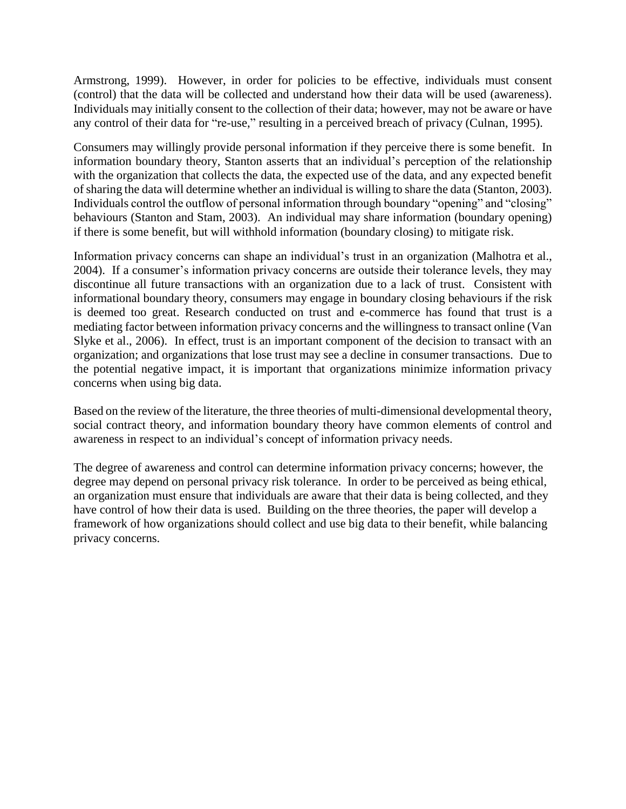Armstrong, 1999). However, in order for policies to be effective, individuals must consent (control) that the data will be collected and understand how their data will be used (awareness). Individuals may initially consent to the collection of their data; however, may not be aware or have any control of their data for "re-use," resulting in a perceived breach of privacy (Culnan, 1995).

Consumers may willingly provide personal information if they perceive there is some benefit. In information boundary theory, Stanton asserts that an individual's perception of the relationship with the organization that collects the data, the expected use of the data, and any expected benefit of sharing the data will determine whether an individual is willing to share the data (Stanton, 2003). Individuals control the outflow of personal information through boundary "opening" and "closing" behaviours (Stanton and Stam, 2003). An individual may share information (boundary opening) if there is some benefit, but will withhold information (boundary closing) to mitigate risk.

Information privacy concerns can shape an individual's trust in an organization (Malhotra et al., 2004). If a consumer's information privacy concerns are outside their tolerance levels, they may discontinue all future transactions with an organization due to a lack of trust. Consistent with informational boundary theory, consumers may engage in boundary closing behaviours if the risk is deemed too great. Research conducted on trust and e-commerce has found that trust is a mediating factor between information privacy concerns and the willingness to transact online (Van Slyke et al., 2006). In effect, trust is an important component of the decision to transact with an organization; and organizations that lose trust may see a decline in consumer transactions. Due to the potential negative impact, it is important that organizations minimize information privacy concerns when using big data.

Based on the review of the literature, the three theories of multi-dimensional developmental theory, social contract theory, and information boundary theory have common elements of control and awareness in respect to an individual's concept of information privacy needs.

The degree of awareness and control can determine information privacy concerns; however, the degree may depend on personal privacy risk tolerance. In order to be perceived as being ethical, an organization must ensure that individuals are aware that their data is being collected, and they have control of how their data is used. Building on the three theories, the paper will develop a framework of how organizations should collect and use big data to their benefit, while balancing privacy concerns.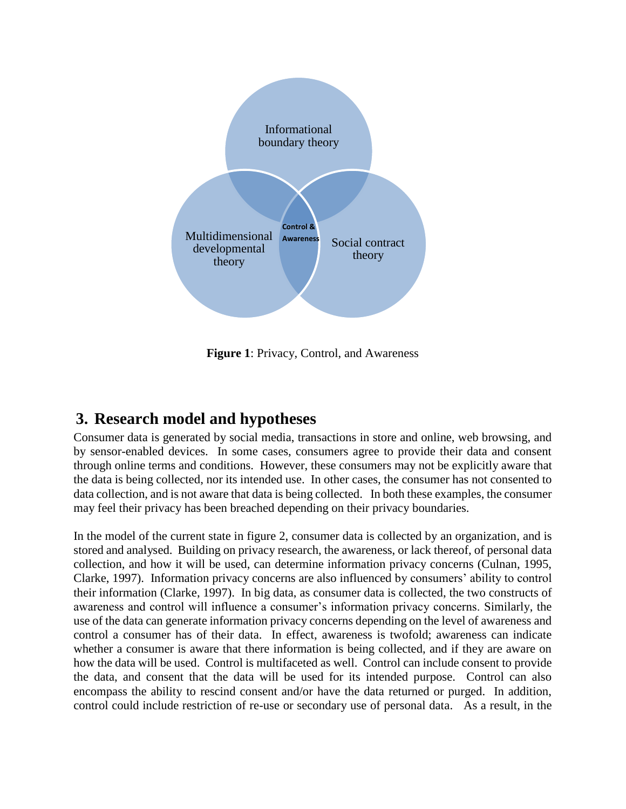

**Figure 1**: Privacy, Control, and Awareness

#### **3. Research model and hypotheses**

Consumer data is generated by social media, transactions in store and online, web browsing, and by sensor-enabled devices. In some cases, consumers agree to provide their data and consent through online terms and conditions. However, these consumers may not be explicitly aware that the data is being collected, nor its intended use. In other cases, the consumer has not consented to data collection, and is not aware that data is being collected. In both these examples, the consumer may feel their privacy has been breached depending on their privacy boundaries.

In the model of the current state in figure 2, consumer data is collected by an organization, and is stored and analysed. Building on privacy research, the awareness, or lack thereof, of personal data collection, and how it will be used, can determine information privacy concerns (Culnan, 1995, Clarke, 1997). Information privacy concerns are also influenced by consumers' ability to control their information (Clarke, 1997). In big data, as consumer data is collected, the two constructs of awareness and control will influence a consumer's information privacy concerns. Similarly, the use of the data can generate information privacy concerns depending on the level of awareness and control a consumer has of their data. In effect, awareness is twofold; awareness can indicate whether a consumer is aware that there information is being collected, and if they are aware on how the data will be used. Control is multifaceted as well. Control can include consent to provide the data, and consent that the data will be used for its intended purpose. Control can also encompass the ability to rescind consent and/or have the data returned or purged. In addition, control could include restriction of re-use or secondary use of personal data. As a result, in the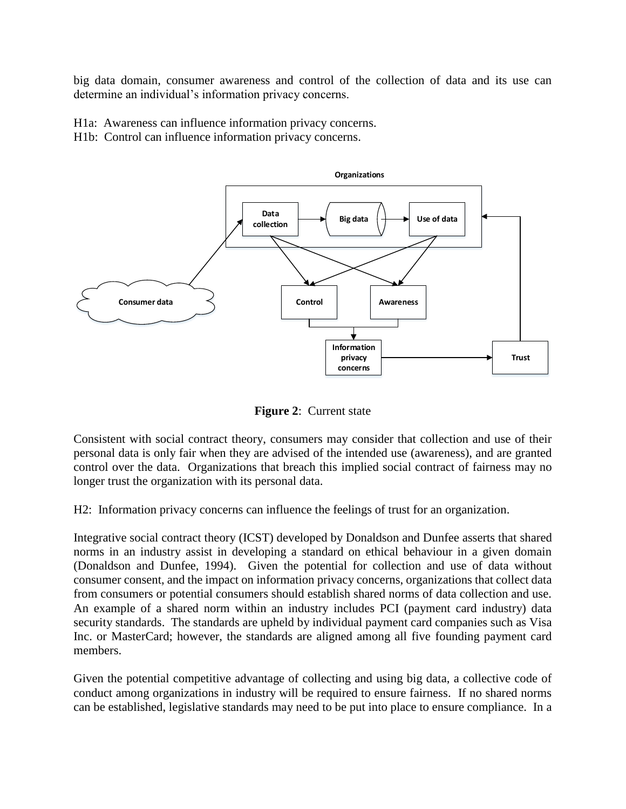big data domain, consumer awareness and control of the collection of data and its use can determine an individual's information privacy concerns.

H1a: Awareness can influence information privacy concerns.

H1b: Control can influence information privacy concerns.



**Figure 2**: Current state

Consistent with social contract theory, consumers may consider that collection and use of their personal data is only fair when they are advised of the intended use (awareness), and are granted control over the data. Organizations that breach this implied social contract of fairness may no longer trust the organization with its personal data.

H2: Information privacy concerns can influence the feelings of trust for an organization.

Integrative social contract theory (ICST) developed by Donaldson and Dunfee asserts that shared norms in an industry assist in developing a standard on ethical behaviour in a given domain (Donaldson and Dunfee, 1994). Given the potential for collection and use of data without consumer consent, and the impact on information privacy concerns, organizations that collect data from consumers or potential consumers should establish shared norms of data collection and use. An example of a shared norm within an industry includes PCI (payment card industry) data security standards. The standards are upheld by individual payment card companies such as Visa Inc. or MasterCard; however, the standards are aligned among all five founding payment card members.

Given the potential competitive advantage of collecting and using big data, a collective code of conduct among organizations in industry will be required to ensure fairness. If no shared norms can be established, legislative standards may need to be put into place to ensure compliance. In a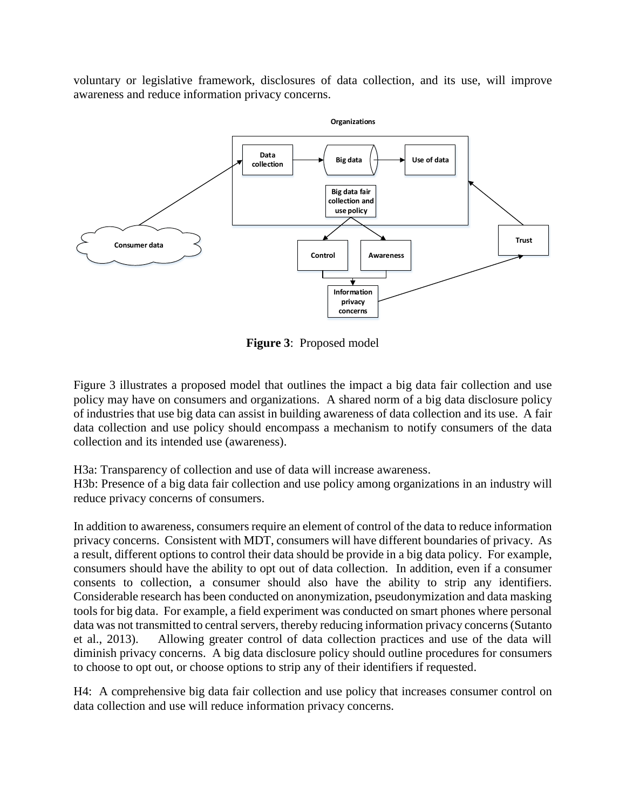voluntary or legislative framework, disclosures of data collection, and its use, will improve awareness and reduce information privacy concerns.



**Figure 3**: Proposed model

Figure 3 illustrates a proposed model that outlines the impact a big data fair collection and use policy may have on consumers and organizations. A shared norm of a big data disclosure policy of industries that use big data can assist in building awareness of data collection and its use. A fair data collection and use policy should encompass a mechanism to notify consumers of the data collection and its intended use (awareness).

H3a: Transparency of collection and use of data will increase awareness.

H3b: Presence of a big data fair collection and use policy among organizations in an industry will reduce privacy concerns of consumers.

In addition to awareness, consumers require an element of control of the data to reduce information privacy concerns. Consistent with MDT, consumers will have different boundaries of privacy. As a result, different options to control their data should be provide in a big data policy. For example, consumers should have the ability to opt out of data collection. In addition, even if a consumer consents to collection, a consumer should also have the ability to strip any identifiers. Considerable research has been conducted on anonymization, pseudonymization and data masking tools for big data. For example, a field experiment was conducted on smart phones where personal data was not transmitted to central servers, thereby reducing information privacy concerns (Sutanto et al., 2013). Allowing greater control of data collection practices and use of the data will diminish privacy concerns. A big data disclosure policy should outline procedures for consumers to choose to opt out, or choose options to strip any of their identifiers if requested.

H4: A comprehensive big data fair collection and use policy that increases consumer control on data collection and use will reduce information privacy concerns.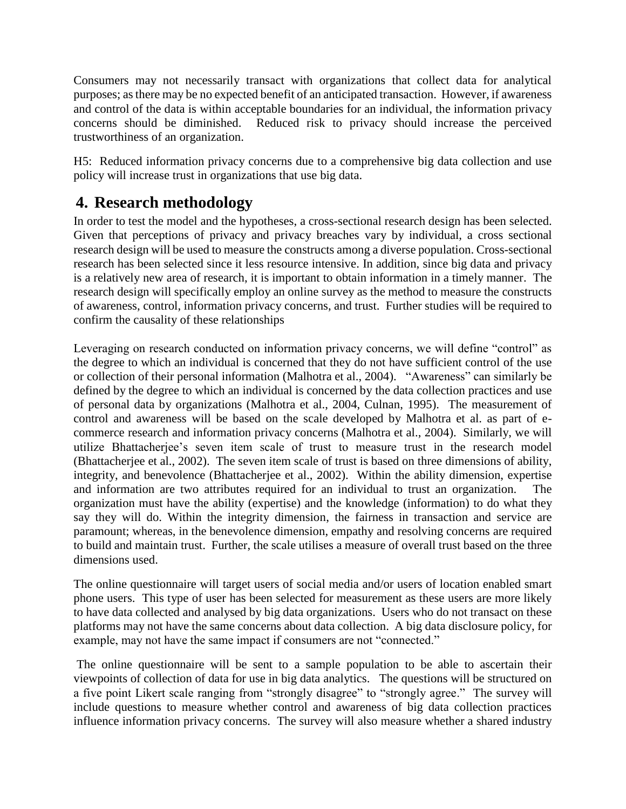Consumers may not necessarily transact with organizations that collect data for analytical purposes; asthere may be no expected benefit of an anticipated transaction. However, if awareness and control of the data is within acceptable boundaries for an individual, the information privacy concerns should be diminished. Reduced risk to privacy should increase the perceived trustworthiness of an organization.

H5: Reduced information privacy concerns due to a comprehensive big data collection and use policy will increase trust in organizations that use big data.

# **4. Research methodology**

In order to test the model and the hypotheses, a cross-sectional research design has been selected. Given that perceptions of privacy and privacy breaches vary by individual, a cross sectional research design will be used to measure the constructs among a diverse population. Cross-sectional research has been selected since it less resource intensive. In addition, since big data and privacy is a relatively new area of research, it is important to obtain information in a timely manner. The research design will specifically employ an online survey as the method to measure the constructs of awareness, control, information privacy concerns, and trust. Further studies will be required to confirm the causality of these relationships

Leveraging on research conducted on information privacy concerns, we will define "control" as the degree to which an individual is concerned that they do not have sufficient control of the use or collection of their personal information (Malhotra et al., 2004). "Awareness" can similarly be defined by the degree to which an individual is concerned by the data collection practices and use of personal data by organizations (Malhotra et al., 2004, Culnan, 1995). The measurement of control and awareness will be based on the scale developed by Malhotra et al. as part of ecommerce research and information privacy concerns (Malhotra et al., 2004). Similarly, we will utilize Bhattacherjee's seven item scale of trust to measure trust in the research model (Bhattacherjee et al., 2002). The seven item scale of trust is based on three dimensions of ability, integrity, and benevolence (Bhattacherjee et al., 2002). Within the ability dimension, expertise and information are two attributes required for an individual to trust an organization. The organization must have the ability (expertise) and the knowledge (information) to do what they say they will do. Within the integrity dimension, the fairness in transaction and service are paramount; whereas, in the benevolence dimension, empathy and resolving concerns are required to build and maintain trust. Further, the scale utilises a measure of overall trust based on the three dimensions used.

The online questionnaire will target users of social media and/or users of location enabled smart phone users. This type of user has been selected for measurement as these users are more likely to have data collected and analysed by big data organizations. Users who do not transact on these platforms may not have the same concerns about data collection. A big data disclosure policy, for example, may not have the same impact if consumers are not "connected."

The online questionnaire will be sent to a sample population to be able to ascertain their viewpoints of collection of data for use in big data analytics. The questions will be structured on a five point Likert scale ranging from "strongly disagree" to "strongly agree." The survey will include questions to measure whether control and awareness of big data collection practices influence information privacy concerns. The survey will also measure whether a shared industry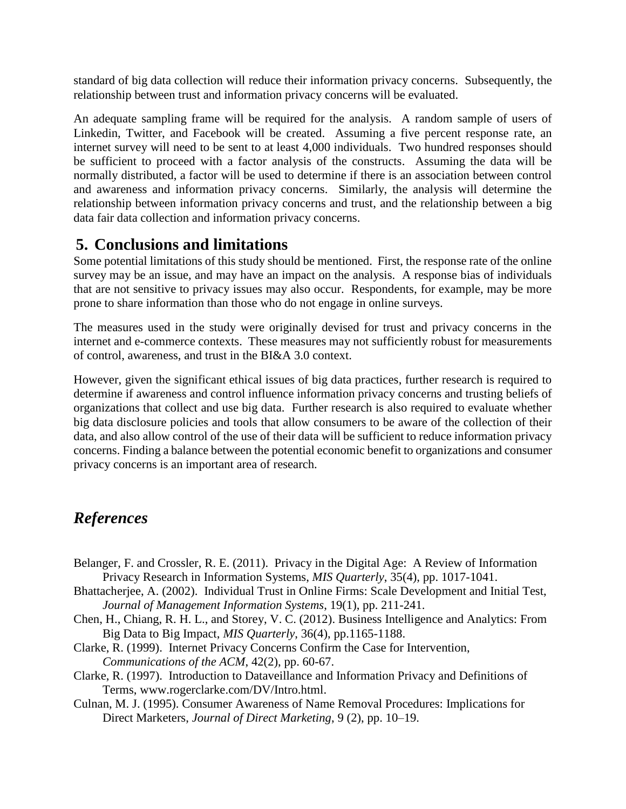standard of big data collection will reduce their information privacy concerns. Subsequently, the relationship between trust and information privacy concerns will be evaluated.

An adequate sampling frame will be required for the analysis. A random sample of users of Linkedin, Twitter, and Facebook will be created. Assuming a five percent response rate, an internet survey will need to be sent to at least 4,000 individuals. Two hundred responses should be sufficient to proceed with a factor analysis of the constructs. Assuming the data will be normally distributed, a factor will be used to determine if there is an association between control and awareness and information privacy concerns. Similarly, the analysis will determine the relationship between information privacy concerns and trust, and the relationship between a big data fair data collection and information privacy concerns.

#### **5. Conclusions and limitations**

Some potential limitations of this study should be mentioned. First, the response rate of the online survey may be an issue, and may have an impact on the analysis. A response bias of individuals that are not sensitive to privacy issues may also occur. Respondents, for example, may be more prone to share information than those who do not engage in online surveys.

The measures used in the study were originally devised for trust and privacy concerns in the internet and e-commerce contexts. These measures may not sufficiently robust for measurements of control, awareness, and trust in the BI&A 3.0 context.

However, given the significant ethical issues of big data practices, further research is required to determine if awareness and control influence information privacy concerns and trusting beliefs of organizations that collect and use big data. Further research is also required to evaluate whether big data disclosure policies and tools that allow consumers to be aware of the collection of their data, and also allow control of the use of their data will be sufficient to reduce information privacy concerns. Finding a balance between the potential economic benefit to organizations and consumer privacy concerns is an important area of research.

## *References*

- Belanger, F. and Crossler, R. E. (2011). Privacy in the Digital Age: A Review of Information Privacy Research in Information Systems, *MIS Quarterly*, 35(4), pp. 1017-1041.
- Bhattacherjee, A. (2002). Individual Trust in Online Firms: Scale Development and Initial Test, *Journal of Management Information Systems*, 19(1), pp. 211-241.
- Chen, H., Chiang, R. H. L., and Storey, V. C. (2012). Business Intelligence and Analytics: From Big Data to Big Impact, *MIS Quarterly*, 36(4), pp.1165-1188.
- Clarke, R. (1999). Internet Privacy Concerns Confirm the Case for Intervention, *Communications of the ACM*, 42(2), pp. 60-67.
- Clarke, R. (1997). Introduction to Dataveillance and Information Privacy and Definitions of Terms, www.rogerclarke.com/DV/Intro.html.
- Culnan, M. J. (1995). Consumer Awareness of Name Removal Procedures: Implications for Direct Marketers, *Journal of Direct Marketing*, 9 (2), pp. 10–19.